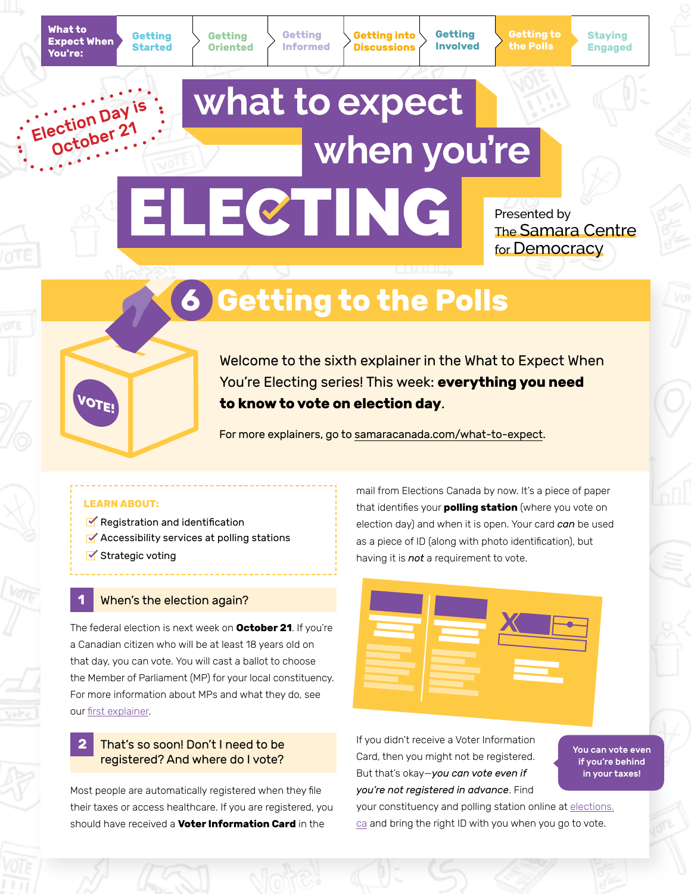Election Day October 21 **Getting Oriented**

**Getting Started** **Getting Informed** **Getting into Discussions**

**Getting Involved** **Getting to the Polls**

**Staying Engaged**

# what to expect when you're ELECTING

Presented by The Samara Centre for Democracy

# **6 Getting to the Polls**



Welcome to the sixth explainer in the What to Expect When You're Electing series! This week: **everything you need to know to vote on election day**.

For more explainers, go to [samaracanada.com/what-to-expect](https://www.samaracanada.com/samara-in-the-classroom/what-to-expect-when-you).

### **LEARN ABOUT:**

- $\blacktriangleright$  Registration and identification
- **Accessibility services at polling stations**
- $\blacktriangleright$  Strategic voting

# **When's the election again?**

The federal election is next week on **October 21**. If you're a Canadian citizen who will be at least 18 years old on that day, you can vote. You will cast a ballot to choose the Member of Parliament (MP) for your local constituency. For more information about MPs and what they do, see our [first explainer](https://www.samaracanada.com/samara-in-the-classroom/what-to-expect-when-you).

# **2** That's so soon! Don't I need to be registered? And where do I vote?

Most people are automatically registered when they file their taxes or access healthcare. If you are registered, you should have received a **Voter Information Card** in the

mail from Elections Canada by now. It's a piece of paper that identifies your **polling station** (where you vote on election day) and when it is open. Your card *can* be used as a piece of ID (along with photo identification), but having it is *not* a requirement to vote.



If you didn't receive a Voter Information Card, then you might not be registered. But that's okay—*you can vote even if you're not registered in advance*. Find

You can vote even if you're behind in your taxes!

your constituency and polling station online at [elections.](www.elections.ca) [ca](www.elections.ca) and bring the right ID with you when you go to vote.